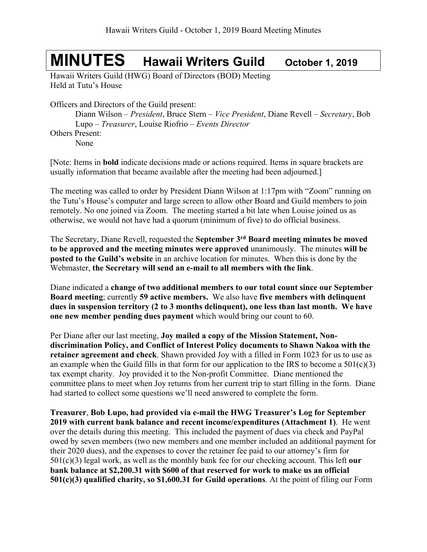## **MINUTES Hawaii Writers Guild October 1, <sup>2019</sup>**

Hawaii Writers Guild (HWG) Board of Directors (BOD) Meeting Held at Tutu's House

Officers and Directors of the Guild present:

Diann Wilson – *President*, Bruce Stern – *Vice President*, Diane Revell – *Secretary*, Bob Lupo – *Treasurer*, Louise Riofrio – *Events Director*

Others Present:

None

[Note: Items in **bold** indicate decisions made or actions required. Items in square brackets are usually information that became available after the meeting had been adjourned.]

The meeting was called to order by President Diann Wilson at 1:17pm with "Zoom" running on the Tutu's House's computer and large screen to allow other Board and Guild members to join remotely. No one joined via Zoom. The meeting started a bit late when Louise joined us as otherwise, we would not have had a quorum (minimum of five) to do official business.

The Secretary, Diane Revell, requested the **September 3rd Board meeting minutes be moved to be approved and the meeting minutes were approved** unanimously. The minutes **will be posted to the Guild's website** in an archive location for minutes. When this is done by the Webmaster, **the Secretary will send an e-mail to all members with the link**.

Diane indicated a **change of two additional members to our total count since our September Board meeting**; currently **59 active members.** We also have **five members with delinquent dues in suspension territory (2 to 3 months delinquent), one less than last month. We have one new member pending dues payment** which would bring our count to 60.

Per Diane after our last meeting, **Joy mailed a copy of the Mission Statement, Nondiscrimination Policy, and Conflict of Interest Policy documents to Shawn Nakoa with the retainer agreement and check**. Shawn provided Joy with a filled in Form 1023 for us to use as an example when the Guild fills in that form for our application to the IRS to become a  $501(c)(3)$ tax exempt charity. Joy provided it to the Non-profit Committee. Diane mentioned the committee plans to meet when Joy returns from her current trip to start filling in the form. Diane had started to collect some questions we'll need answered to complete the form.

**Treasurer**, **Bob Lupo, had provided via e-mail the HWG Treasurer's Log for September 2019 with current bank balance and recent income/expenditures (Attachment 1)**. He went over the details during this meeting. This included the payment of dues via check and PayPal owed by seven members (two new members and one member included an additional payment for their 2020 dues), and the expenses to cover the retainer fee paid to our attorney's firm for 501(c)(3) legal work, as well as the monthly bank fee for our checking account. This left **our bank balance at \$2,200.31 with \$600 of that reserved for work to make us an official 501(c)(3) qualified charity, so \$1,600.31 for Guild operations**. At the point of filing our Form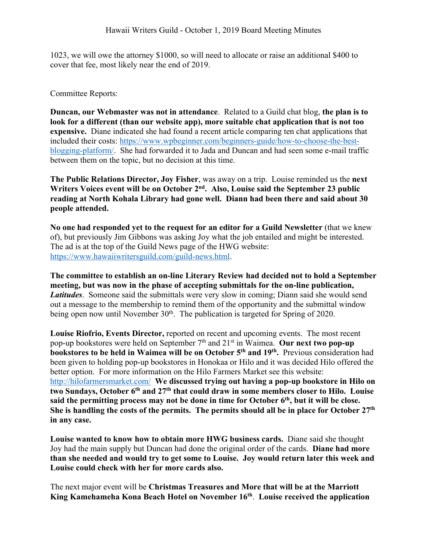1023, we will owe the attorney \$1000, so will need to allocate or raise an additional \$400 to cover that fee, most likely near the end of 2019.

Committee Reports:

**Duncan, our Webmaster was not in attendance**. Related to a Guild chat blog, **the plan is to look for a different (than our website app), more suitable chat application that is not too expensive.** Diane indicated she had found a recent article comparing ten chat applications that included their costs: https://www.wpbeginner.com/beginners-guide/how-to-choose-the-bestblogging-platform/. She had forwarded it to Jada and Duncan and had seen some e-mail traffic between them on the topic, but no decision at this time.

**The Public Relations Director, Joy Fisher**, was away on a trip. Louise reminded us the **next Writers Voices event will be on October 2nd. Also, Louise said the September 23 public reading at North Kohala Library had gone well. Diann had been there and said about 30 people attended.**

**No one had responded yet to the request for an editor for a Guild Newsletter** (that we knew of), but previously Jim Gibbons was asking Joy what the job entailed and might be interested. The ad is at the top of the Guild News page of the HWG website: https://www.hawaiiwritersguild.com/guild-news.html.

**The committee to establish an on-line Literary Review had decided not to hold a September meeting, but was now in the phase of accepting submittals for the on-line publication,**  *Latitudes*. Someone said the submittals were very slow in coming; Diann said she would send out a message to the membership to remind them of the opportunity and the submittal window being open now until November  $30<sup>th</sup>$ . The publication is targeted for Spring of 2020.

**Louise Riofrio, Events Director,** reported on recent and upcoming events.The most recent pop-up bookstores were held on September 7th and 21st in Waimea. **Our next two pop-up bookstores to be held in Waimea will be on October 5th and 19th.** Previous consideration had been given to holding pop-up bookstores in Honokaa or Hilo and it was decided Hilo offered the better option. For more information on the Hilo Farmers Market see this website: http://hilofarmersmarket.com/ **We discussed trying out having a pop-up bookstore in Hilo on two Sundays, October 6th and 27th that could draw in some members closer to Hilo. Louise said the permitting process may not be done in time for October 6th, but it will be close. She is handling the costs of the permits. The permits should all be in place for October 27th in any case.** 

**Louise wanted to know how to obtain more HWG business cards.** Diane said she thought Joy had the main supply but Duncan had done the original order of the cards. **Diane had more than she needed and would try to get some to Louise. Joy would return later this week and Louise could check with her for more cards also.**

The next major event will be **Christmas Treasures and More that will be at the Marriott King Kamehameha Kona Beach Hotel on November 16th**. **Louise received the application**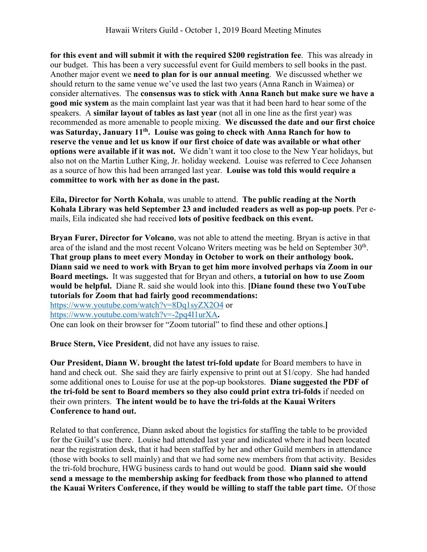**for this event and will submit it with the required \$200 registration fee**. This was already in our budget. This has been a very successful event for Guild members to sell books in the past. Another major event we **need to plan for is our annual meeting**. We discussed whether we should return to the same venue we've used the last two years (Anna Ranch in Waimea) or consider alternatives. The **consensus was to stick with Anna Ranch but make sure we have a good mic system** as the main complaint last year was that it had been hard to hear some of the speakers. A **similar layout of tables as last year** (not all in one line as the first year) was recommended as more amenable to people mixing. **We discussed the date and our first choice was Saturday, January 11th. Louise was going to check with Anna Ranch for how to reserve the venue and let us know if our first choice of date was available or what other options were available if it was not.** We didn't want it too close to the New Year holidays, but also not on the Martin Luther King, Jr. holiday weekend. Louise was referred to Cece Johansen as a source of how this had been arranged last year. **Louise was told this would require a committee to work with her as done in the past.**

**Eila, Director for North Kohala**, was unable to attend. **The public reading at the North Kohala Library was held September 23 and included readers as well as pop-up poets**. Per emails, Eila indicated she had received **lots of positive feedback on this event.**

**Bryan Furer, Director for Volcano**, was not able to attend the meeting. Bryan is active in that area of the island and the most recent Volcano Writers meeting was be held on September 30<sup>th</sup>. **That group plans to meet every Monday in October to work on their anthology book. Diann said we need to work with Bryan to get him more involved perhaps via Zoom in our Board meetings.** It was suggested that for Bryan and others, **a tutorial on how to use Zoom would be helpful.** Diane R. said she would look into this. **[Diane found these two YouTube tutorials for Zoom that had fairly good recommendations:**  https://www.youtube.com/watch?v=8Dq1syZX2O4 or https://www.youtube.com/watch?v=-2pq4I1urXA**.** 

One can look on their browser for "Zoom tutorial" to find these and other options.**]**

**Bruce Stern, Vice President**, did not have any issues to raise.

**Our President, Diann W. brought the latest tri-fold update** for Board members to have in hand and check out. She said they are fairly expensive to print out at \$1/copy. She had handed some additional ones to Louise for use at the pop-up bookstores. **Diane suggested the PDF of the tri-fold be sent to Board members so they also could print extra tri-folds** if needed on their own printers. **The intent would be to have the tri-folds at the Kauai Writers Conference to hand out.**

Related to that conference, Diann asked about the logistics for staffing the table to be provided for the Guild's use there. Louise had attended last year and indicated where it had been located near the registration desk, that it had been staffed by her and other Guild members in attendance (those with books to sell mainly) and that we had some new members from that activity. Besides the tri-fold brochure, HWG business cards to hand out would be good. **Diann said she would send a message to the membership asking for feedback from those who planned to attend the Kauai Writers Conference, if they would be willing to staff the table part time.** Of those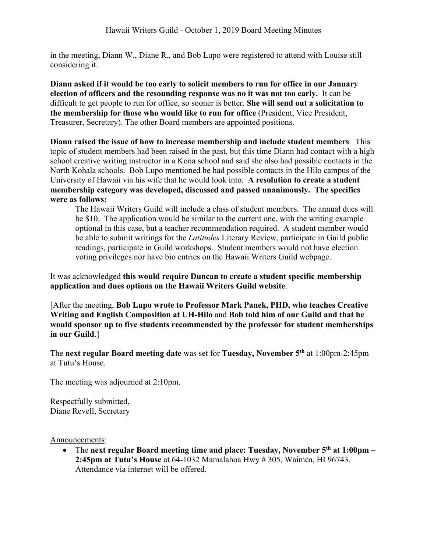in the meeting, Diann W., Diane R., and Bob Lupo were registered to attend with Louise still considering it.

**Diann asked if it would be too early to solicit members to run for office in our January election of officers and the resounding response was no it was not too early.** It can be difficult to get people to run for office, so sooner is better. **She will send out a solicitation to the membership for those who would like to run for office** (President, Vice President, Treasurer, Secretary). The other Board members are appointed positions.

**Diann raised the issue of how to increase membership and include student members**. This topic of student members had been raised in the past, but this time Diann had contact with a high school creative writing instructor in a Kona school and said she also had possible contacts in the North Kohala schools. Bob Lupo mentioned he had possible contacts in the Hilo campus of the University of Hawaii via his wife that he would look into. **A resolution to create a student membership category was developed, discussed and passed unanimously. The specifics were as follows:**

The Hawaii Writers Guild will include a class of student members. The annual dues will be \$10. The application would be similar to the current one, with the writing example optional in this case, but a teacher recommendation required. A student member would be able to submit writings for the *Latitudes* Literary Review, participate in Guild public readings, participate in Guild workshops. Student members would not have election voting privileges nor have bio entries on the Hawaii Writers Guild webpage.

It was acknowledged **this would require Duncan to create a student specific membership application and dues options on the Hawaii Writers Guild website**.

[After the meeting, **Bob Lupo wrote to Professor Mark Panek, PHD, who teaches Creative Writing and English Composition at UH-Hilo** and **Bob told him of our Guild and that he would sponsor up to five students recommended by the professor for student memberships in our Guild**.]

The **next regular Board meeting date** was set for **Tuesday, November 5th** at 1:00pm-2:45pm at Tutu's House.

The meeting was adjourned at 2:10pm.

Respectfully submitted, Diane Revell, Secretary

Announcements:

• The **next regular Board meeting time and place: Tuesday, November 5th at 1:00pm – 2:45pm at Tutu's House** at 64-1032 Mamalahoa Hwy # 305, Waimea, HI 96743. Attendance via internet will be offered.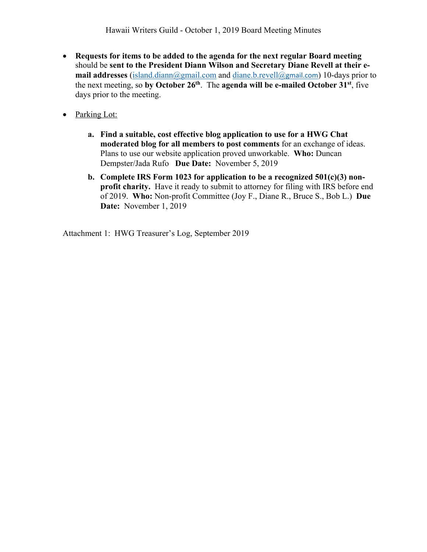- **Requests for items to be added to the agenda for the next regular Board meeting** should be **sent to the President Diann Wilson and Secretary Diane Revell at their email addresses** (island.diann@gmail.com and diane.b.revell@gmail.com) 10-days prior to the next meeting, so **by October 26th**. The **agenda will be e-mailed October 31st**, five days prior to the meeting.
- Parking Lot:
	- **a. Find a suitable, cost effective blog application to use for a HWG Chat moderated blog for all members to post comments** for an exchange of ideas. Plans to use our website application proved unworkable. **Who:** Duncan Dempster/Jada Rufo **Due Date:** November 5, 2019
	- **b. Complete IRS Form 1023 for application to be a recognized 501(c)(3) nonprofit charity.** Have it ready to submit to attorney for filing with IRS before end of 2019. **Who:** Non-profit Committee (Joy F., Diane R., Bruce S., Bob L.) **Due Date:** November 1, 2019

Attachment 1: HWG Treasurer's Log, September 2019